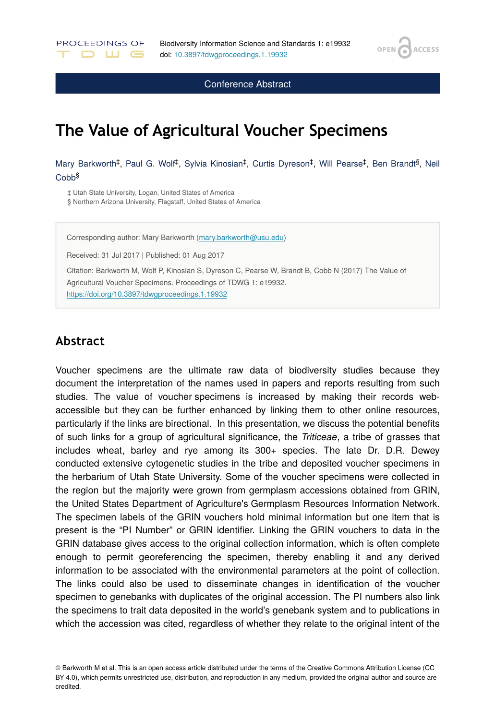**ACCESS** 

**OPEN** 

Conference Abstract

## **The Value of Agricultural Voucher Specimens**

Mary Barkworth<sup>‡</sup>, Paul G. Wolf<sup>‡</sup>, Sylvia Kinosian<sup>‡</sup>, Curtis Dyreson<sup>‡</sup>, Will Pearse<sup>‡</sup>, Ben Brandt<sup>§</sup>, Neil Cobb §

‡ Utah State University, Logan, United States of America § Northern Arizona University, Flagstaff, United States of America

Corresponding author: Mary Barkworth ([mary.barkworth@usu.edu\)](mailto:mary.barkworth@usu.edu)

Received: 31 Jul 2017 | Published: 01 Aug 2017

Citation: Barkworth M, Wolf P, Kinosian S, Dyreson C, Pearse W, Brandt B, Cobb N (2017) The Value of Agricultural Voucher Specimens. Proceedings of TDWG 1: e19932. <https://doi.org/10.3897/tdwgproceedings.1.19932>

## **Abstract**

PROCEEDINGS OF

D W G

Voucher specimens are the ultimate raw data of biodiversity studies because they document the interpretation of the names used in papers and reports resulting from such studies. The value of voucher specimens is increased by making their records webaccessible but they can be further enhanced by linking them to other online resources, particularly if the links are birectional. In this presentation, we discuss the potential benefits of such links for a group of agricultural significance, the *Triticeae*, a tribe of grasses that includes wheat, barley and rye among its 300+ species. The late Dr. D.R. Dewey conducted extensive cytogenetic studies in the tribe and deposited voucher specimens in the herbarium of Utah State University. Some of the voucher specimens were collected in the region but the majority were grown from germplasm accessions obtained from GRIN, the United States Department of Agriculture's Germplasm Resources Information Network. The specimen labels of the GRIN vouchers hold minimal information but one item that is present is the "PI Number" or GRIN identifier. Linking the GRIN vouchers to data in the GRIN database gives access to the original collection information, which is often complete enough to permit georeferencing the specimen, thereby enabling it and any derived information to be associated with the environmental parameters at the point of collection. The links could also be used to disseminate changes in identification of the voucher specimen to genebanks with duplicates of the original accession. The PI numbers also link the specimens to trait data deposited in the world's genebank system and to publications in which the accession was cited, regardless of whether they relate to the original intent of the

© Barkworth M et al. This is an open access article distributed under the terms of the Creative Commons Attribution License (CC BY 4.0), which permits unrestricted use, distribution, and reproduction in any medium, provided the original author and source are credited.